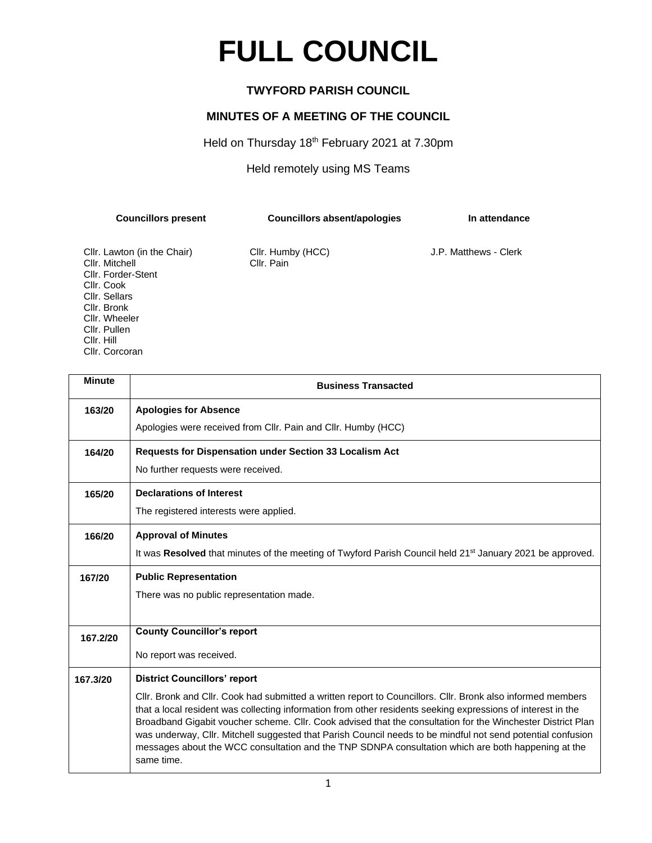## **FULL COUNCIL**

## **TWYFORD PARISH COUNCIL**

## **MINUTES OF A MEETING OF THE COUNCIL**

Held on Thursday 18<sup>th</sup> February 2021 at 7.30pm

Held remotely using MS Teams

| <b>Councillors present</b> | Councillors absent/apologies | In attendance |
|----------------------------|------------------------------|---------------|
|                            |                              |               |

Cllr. Lawton (in the Chair) Cllr. Humby (HCC) J.P. Matthews - Clerk<br>Cllr. Mitchell Cllr. Pain Cllr. Mitchell Cllr. Forder-Stent Cllr. Cook Cllr. Sellars Cllr. Bronk Cllr. Wheeler Cllr. Pullen Cllr. Hill Cllr. Corcoran

| <b>Minute</b> | <b>Business Transacted</b>                                                                                                                                                                                                                                                                                                                                                                                                                                                                                                                                                    |  |  |  |
|---------------|-------------------------------------------------------------------------------------------------------------------------------------------------------------------------------------------------------------------------------------------------------------------------------------------------------------------------------------------------------------------------------------------------------------------------------------------------------------------------------------------------------------------------------------------------------------------------------|--|--|--|
| 163/20        | <b>Apologies for Absence</b>                                                                                                                                                                                                                                                                                                                                                                                                                                                                                                                                                  |  |  |  |
|               | Apologies were received from Cllr. Pain and Cllr. Humby (HCC)                                                                                                                                                                                                                                                                                                                                                                                                                                                                                                                 |  |  |  |
| 164/20        | Requests for Dispensation under Section 33 Localism Act                                                                                                                                                                                                                                                                                                                                                                                                                                                                                                                       |  |  |  |
|               | No further requests were received.                                                                                                                                                                                                                                                                                                                                                                                                                                                                                                                                            |  |  |  |
| 165/20        | <b>Declarations of Interest</b>                                                                                                                                                                                                                                                                                                                                                                                                                                                                                                                                               |  |  |  |
|               | The registered interests were applied.                                                                                                                                                                                                                                                                                                                                                                                                                                                                                                                                        |  |  |  |
| 166/20        | <b>Approval of Minutes</b>                                                                                                                                                                                                                                                                                                                                                                                                                                                                                                                                                    |  |  |  |
|               | It was Resolved that minutes of the meeting of Twyford Parish Council held 21 <sup>st</sup> January 2021 be approved.                                                                                                                                                                                                                                                                                                                                                                                                                                                         |  |  |  |
| 167/20        | <b>Public Representation</b>                                                                                                                                                                                                                                                                                                                                                                                                                                                                                                                                                  |  |  |  |
|               | There was no public representation made.                                                                                                                                                                                                                                                                                                                                                                                                                                                                                                                                      |  |  |  |
|               |                                                                                                                                                                                                                                                                                                                                                                                                                                                                                                                                                                               |  |  |  |
| 167.2/20      | <b>County Councillor's report</b>                                                                                                                                                                                                                                                                                                                                                                                                                                                                                                                                             |  |  |  |
|               | No report was received.                                                                                                                                                                                                                                                                                                                                                                                                                                                                                                                                                       |  |  |  |
| 167.3/20      | <b>District Councillors' report</b>                                                                                                                                                                                                                                                                                                                                                                                                                                                                                                                                           |  |  |  |
|               | Cllr. Bronk and Cllr. Cook had submitted a written report to Councillors. Cllr. Bronk also informed members<br>that a local resident was collecting information from other residents seeking expressions of interest in the<br>Broadband Gigabit voucher scheme. Cllr. Cook advised that the consultation for the Winchester District Plan<br>was underway, Cllr. Mitchell suggested that Parish Council needs to be mindful not send potential confusion<br>messages about the WCC consultation and the TNP SDNPA consultation which are both happening at the<br>same time. |  |  |  |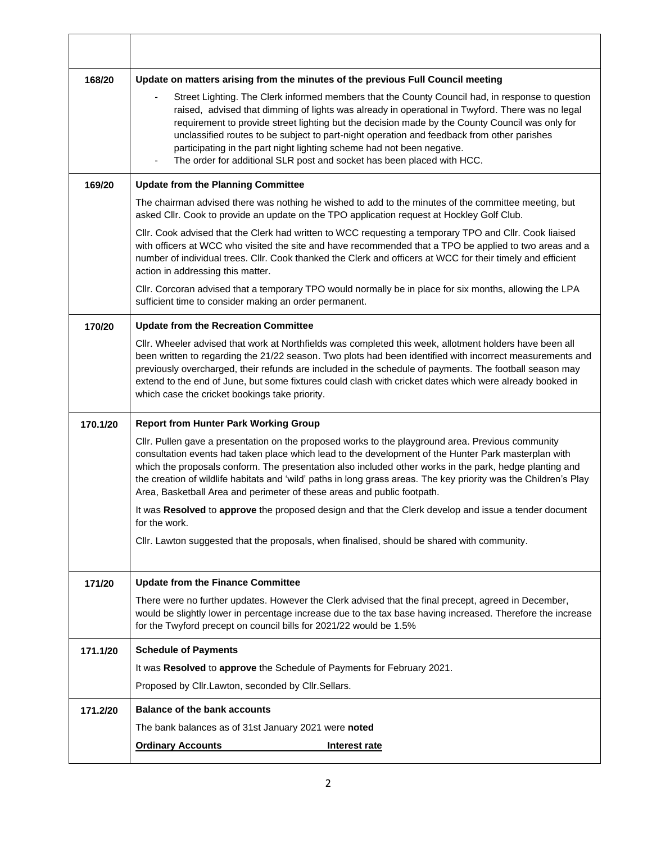| 168/20   | Update on matters arising from the minutes of the previous Full Council meeting                                                                                                                                                                                                                                                                                                                                                                                                                                                                           |
|----------|-----------------------------------------------------------------------------------------------------------------------------------------------------------------------------------------------------------------------------------------------------------------------------------------------------------------------------------------------------------------------------------------------------------------------------------------------------------------------------------------------------------------------------------------------------------|
|          | Street Lighting. The Clerk informed members that the County Council had, in response to question<br>raised, advised that dimming of lights was already in operational in Twyford. There was no legal<br>requirement to provide street lighting but the decision made by the County Council was only for<br>unclassified routes to be subject to part-night operation and feedback from other parishes<br>participating in the part night lighting scheme had not been negative.<br>The order for additional SLR post and socket has been placed with HCC. |
| 169/20   | <b>Update from the Planning Committee</b>                                                                                                                                                                                                                                                                                                                                                                                                                                                                                                                 |
|          | The chairman advised there was nothing he wished to add to the minutes of the committee meeting, but<br>asked Cllr. Cook to provide an update on the TPO application request at Hockley Golf Club.                                                                                                                                                                                                                                                                                                                                                        |
|          | CIIr. Cook advised that the Clerk had written to WCC requesting a temporary TPO and CIIr. Cook liaised<br>with officers at WCC who visited the site and have recommended that a TPO be applied to two areas and a<br>number of individual trees. Cllr. Cook thanked the Clerk and officers at WCC for their timely and efficient<br>action in addressing this matter.                                                                                                                                                                                     |
|          | Cllr. Corcoran advised that a temporary TPO would normally be in place for six months, allowing the LPA<br>sufficient time to consider making an order permanent.                                                                                                                                                                                                                                                                                                                                                                                         |
| 170/20   | <b>Update from the Recreation Committee</b>                                                                                                                                                                                                                                                                                                                                                                                                                                                                                                               |
|          | Cllr. Wheeler advised that work at Northfields was completed this week, allotment holders have been all<br>been written to regarding the 21/22 season. Two plots had been identified with incorrect measurements and<br>previously overcharged, their refunds are included in the schedule of payments. The football season may<br>extend to the end of June, but some fixtures could clash with cricket dates which were already booked in<br>which case the cricket bookings take priority.                                                             |
| 170.1/20 | <b>Report from Hunter Park Working Group</b>                                                                                                                                                                                                                                                                                                                                                                                                                                                                                                              |
|          | CIIr. Pullen gave a presentation on the proposed works to the playground area. Previous community<br>consultation events had taken place which lead to the development of the Hunter Park masterplan with<br>which the proposals conform. The presentation also included other works in the park, hedge planting and<br>the creation of wildlife habitats and 'wild' paths in long grass areas. The key priority was the Children's Play<br>Area, Basketball Area and perimeter of these areas and public footpath.                                       |
|          | It was Resolved to approve the proposed design and that the Clerk develop and issue a tender document<br>for the work.                                                                                                                                                                                                                                                                                                                                                                                                                                    |
|          | CIIr. Lawton suggested that the proposals, when finalised, should be shared with community.                                                                                                                                                                                                                                                                                                                                                                                                                                                               |
| 171/20   | <b>Update from the Finance Committee</b>                                                                                                                                                                                                                                                                                                                                                                                                                                                                                                                  |
|          | There were no further updates. However the Clerk advised that the final precept, agreed in December,<br>would be slightly lower in percentage increase due to the tax base having increased. Therefore the increase<br>for the Twyford precept on council bills for 2021/22 would be 1.5%                                                                                                                                                                                                                                                                 |
| 171.1/20 | <b>Schedule of Payments</b>                                                                                                                                                                                                                                                                                                                                                                                                                                                                                                                               |
|          | It was Resolved to approve the Schedule of Payments for February 2021.                                                                                                                                                                                                                                                                                                                                                                                                                                                                                    |
|          | Proposed by Cllr.Lawton, seconded by Cllr.Sellars.                                                                                                                                                                                                                                                                                                                                                                                                                                                                                                        |
| 171.2/20 | <b>Balance of the bank accounts</b>                                                                                                                                                                                                                                                                                                                                                                                                                                                                                                                       |
|          | The bank balances as of 31st January 2021 were noted                                                                                                                                                                                                                                                                                                                                                                                                                                                                                                      |
|          | <b>Ordinary Accounts</b><br><b>Interest rate</b>                                                                                                                                                                                                                                                                                                                                                                                                                                                                                                          |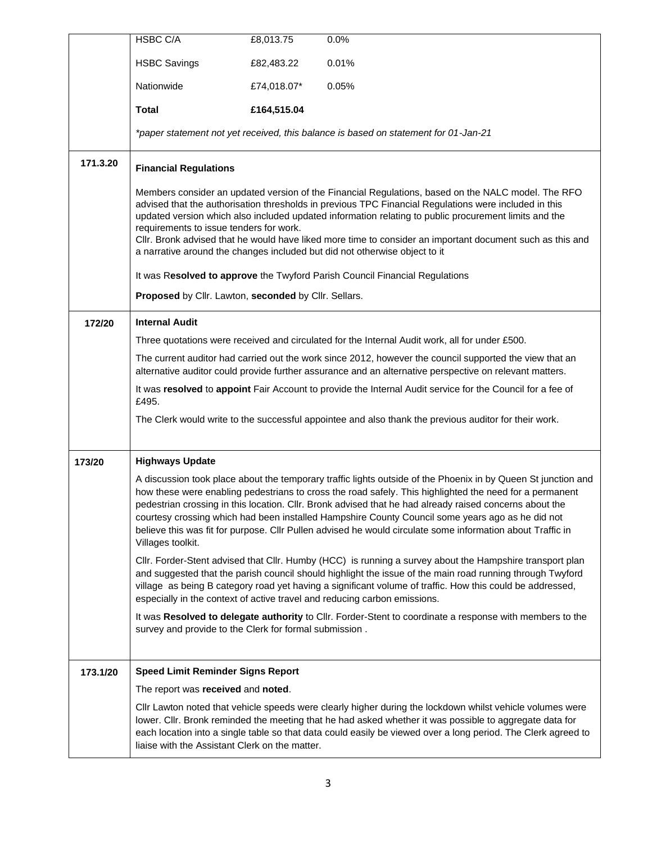|          | HSBC C/A                                                                                                                                                                                                                                                                                                                                                                                                                                                                                                                                                   | £8,013.75   | 0.0%                                                                                                                                                                                                                                                                                                                                                                                                                                                                                                                                                  |  |  |  |  |
|----------|------------------------------------------------------------------------------------------------------------------------------------------------------------------------------------------------------------------------------------------------------------------------------------------------------------------------------------------------------------------------------------------------------------------------------------------------------------------------------------------------------------------------------------------------------------|-------------|-------------------------------------------------------------------------------------------------------------------------------------------------------------------------------------------------------------------------------------------------------------------------------------------------------------------------------------------------------------------------------------------------------------------------------------------------------------------------------------------------------------------------------------------------------|--|--|--|--|
|          | <b>HSBC Savings</b>                                                                                                                                                                                                                                                                                                                                                                                                                                                                                                                                        | £82,483.22  | 0.01%                                                                                                                                                                                                                                                                                                                                                                                                                                                                                                                                                 |  |  |  |  |
|          | Nationwide                                                                                                                                                                                                                                                                                                                                                                                                                                                                                                                                                 | £74,018.07* | 0.05%                                                                                                                                                                                                                                                                                                                                                                                                                                                                                                                                                 |  |  |  |  |
|          | <b>Total</b>                                                                                                                                                                                                                                                                                                                                                                                                                                                                                                                                               | £164,515.04 |                                                                                                                                                                                                                                                                                                                                                                                                                                                                                                                                                       |  |  |  |  |
|          | *paper statement not yet received, this balance is based on statement for 01-Jan-21                                                                                                                                                                                                                                                                                                                                                                                                                                                                        |             |                                                                                                                                                                                                                                                                                                                                                                                                                                                                                                                                                       |  |  |  |  |
| 171.3.20 | <b>Financial Regulations</b>                                                                                                                                                                                                                                                                                                                                                                                                                                                                                                                               |             |                                                                                                                                                                                                                                                                                                                                                                                                                                                                                                                                                       |  |  |  |  |
|          | Members consider an updated version of the Financial Regulations, based on the NALC model. The RFO<br>advised that the authorisation thresholds in previous TPC Financial Regulations were included in this<br>updated version which also included updated information relating to public procurement limits and the<br>requirements to issue tenders for work.<br>CIIr. Bronk advised that he would have liked more time to consider an important document such as this and<br>a narrative around the changes included but did not otherwise object to it |             |                                                                                                                                                                                                                                                                                                                                                                                                                                                                                                                                                       |  |  |  |  |
|          | It was Resolved to approve the Twyford Parish Council Financial Regulations                                                                                                                                                                                                                                                                                                                                                                                                                                                                                |             |                                                                                                                                                                                                                                                                                                                                                                                                                                                                                                                                                       |  |  |  |  |
|          | Proposed by Cllr. Lawton, seconded by Cllr. Sellars.                                                                                                                                                                                                                                                                                                                                                                                                                                                                                                       |             |                                                                                                                                                                                                                                                                                                                                                                                                                                                                                                                                                       |  |  |  |  |
| 172/20   | <b>Internal Audit</b>                                                                                                                                                                                                                                                                                                                                                                                                                                                                                                                                      |             |                                                                                                                                                                                                                                                                                                                                                                                                                                                                                                                                                       |  |  |  |  |
|          | Three quotations were received and circulated for the Internal Audit work, all for under £500.                                                                                                                                                                                                                                                                                                                                                                                                                                                             |             |                                                                                                                                                                                                                                                                                                                                                                                                                                                                                                                                                       |  |  |  |  |
|          | The current auditor had carried out the work since 2012, however the council supported the view that an<br>alternative auditor could provide further assurance and an alternative perspective on relevant matters.                                                                                                                                                                                                                                                                                                                                         |             |                                                                                                                                                                                                                                                                                                                                                                                                                                                                                                                                                       |  |  |  |  |
|          | It was resolved to appoint Fair Account to provide the Internal Audit service for the Council for a fee of<br>£495.                                                                                                                                                                                                                                                                                                                                                                                                                                        |             |                                                                                                                                                                                                                                                                                                                                                                                                                                                                                                                                                       |  |  |  |  |
|          |                                                                                                                                                                                                                                                                                                                                                                                                                                                                                                                                                            |             | The Clerk would write to the successful appointee and also thank the previous auditor for their work.                                                                                                                                                                                                                                                                                                                                                                                                                                                 |  |  |  |  |
| 173/20   | <b>Highways Update</b>                                                                                                                                                                                                                                                                                                                                                                                                                                                                                                                                     |             |                                                                                                                                                                                                                                                                                                                                                                                                                                                                                                                                                       |  |  |  |  |
|          | Villages toolkit.                                                                                                                                                                                                                                                                                                                                                                                                                                                                                                                                          |             | A discussion took place about the temporary traffic lights outside of the Phoenix in by Queen St junction and<br>how these were enabling pedestrians to cross the road safely. This highlighted the need for a permanent<br>pedestrian crossing in this location. Cllr. Bronk advised that he had already raised concerns about the<br>courtesy crossing which had been installed Hampshire County Council some years ago as he did not<br>believe this was fit for purpose. Cllr Pullen advised he would circulate some information about Traffic in |  |  |  |  |
|          |                                                                                                                                                                                                                                                                                                                                                                                                                                                                                                                                                            |             | CIIr. Forder-Stent advised that CIIr. Humby (HCC) is running a survey about the Hampshire transport plan<br>and suggested that the parish council should highlight the issue of the main road running through Twyford<br>village as being B category road yet having a significant volume of traffic. How this could be addressed,<br>especially in the context of active travel and reducing carbon emissions.                                                                                                                                       |  |  |  |  |
|          | survey and provide to the Clerk for formal submission.                                                                                                                                                                                                                                                                                                                                                                                                                                                                                                     |             | It was Resolved to delegate authority to Cllr. Forder-Stent to coordinate a response with members to the                                                                                                                                                                                                                                                                                                                                                                                                                                              |  |  |  |  |
| 173.1/20 | <b>Speed Limit Reminder Signs Report</b>                                                                                                                                                                                                                                                                                                                                                                                                                                                                                                                   |             |                                                                                                                                                                                                                                                                                                                                                                                                                                                                                                                                                       |  |  |  |  |
|          | The report was received and noted.                                                                                                                                                                                                                                                                                                                                                                                                                                                                                                                         |             |                                                                                                                                                                                                                                                                                                                                                                                                                                                                                                                                                       |  |  |  |  |
|          | liaise with the Assistant Clerk on the matter.                                                                                                                                                                                                                                                                                                                                                                                                                                                                                                             |             | CIIr Lawton noted that vehicle speeds were clearly higher during the lockdown whilst vehicle volumes were<br>lower. Cllr. Bronk reminded the meeting that he had asked whether it was possible to aggregate data for<br>each location into a single table so that data could easily be viewed over a long period. The Clerk agreed to                                                                                                                                                                                                                 |  |  |  |  |